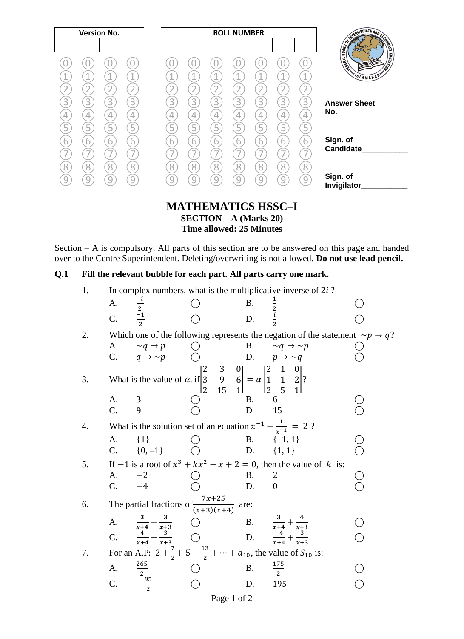|                  | <b>Version No.</b>                                             |                                                  |                                    |                        | <b>ROLL NUMBER</b>       |                                                      |                                                      |                          |                                                                |                                                                |                                                                                                                                                                                                                                                                                                                       |  |  |
|------------------|----------------------------------------------------------------|--------------------------------------------------|------------------------------------|------------------------|--------------------------|------------------------------------------------------|------------------------------------------------------|--------------------------|----------------------------------------------------------------|----------------------------------------------------------------|-----------------------------------------------------------------------------------------------------------------------------------------------------------------------------------------------------------------------------------------------------------------------------------------------------------------------|--|--|
| 3<br>4<br>5<br>ь | $\mathbf 1$<br>$\overline{2}$<br>3<br>$\overline{4}$<br>5<br>6 | 3 <sup>2</sup><br>4<br>$5^{\circ}$<br>$\sqrt{6}$ | 4<br>3<br>$\overline{4}$<br>5<br>6 | $\mathsf{B}$<br>4<br>6 | 3<br>$\overline{4}$<br>6 | 1<br>$\overline{2}$<br>3<br>$\overline{4}$<br>5<br>6 | 1<br>$\overline{2}$<br>$\overline{3}$<br>4<br>5<br>6 | 3<br>$\overline{4}$<br>6 | $\mathbf 1$<br>$\overline{2}$<br>3<br>$\overline{4}$<br>5<br>6 | $\mathbf 1$<br>$\overline{2}$<br>$\overline{3}$<br>4<br>5<br>6 | AND RESIDENCE AND RESIDENCE OF SALES<br>SLAMABAD<br><b>Answer Sheet</b><br>No. And the same of the same of the same of the same of the same of the same of the same of the same of the same of the same of the same of the same of the same of the same of the same of the same of the same of the same o<br>Sign. of |  |  |
| 8<br>q           | $\overline{\phantom{a}}$<br>8<br>9                             | 8<br>$\overline{Q}$                              | $\overline{\phantom{a}}$<br>8<br>9 | 8 <sup>1</sup><br>q    | 8<br>$\cup$              | 7<br>8<br>$\mathcal{G}$                              | $\overline{\phantom{0}}$<br>8<br>$\cup$              | 8<br>Q                   | $\overline{\phantom{a}}$<br>$\overline{8}$<br>9                | $\overline{ }$<br>8<br>9                                       | Candidate<br>Sign. of<br>Invigilator                                                                                                                                                                                                                                                                                  |  |  |

## **MATHEMATICS HSSC–I SECTION – A (Marks 20) Time allowed: 25 Minutes**

Section – A is compulsory. All parts of this section are to be answered on this page and handed over to the Centre Superintendent. Deleting/overwriting is not allowed. **Do not use lead pencil.**

## **Q.1 Fill the relevant bubble for each part. All parts carry one mark.**

| 1. | In complex numbers, what is the multiplicative inverse of $2i$ ? |                                                                             |                                                                                                                                                                                      |           |                                                                                               |  |  |  |  |  |  |
|----|------------------------------------------------------------------|-----------------------------------------------------------------------------|--------------------------------------------------------------------------------------------------------------------------------------------------------------------------------------|-----------|-----------------------------------------------------------------------------------------------|--|--|--|--|--|--|
|    | A.                                                               |                                                                             |                                                                                                                                                                                      | Β.        |                                                                                               |  |  |  |  |  |  |
|    | $\mathcal{C}$ .                                                  | $\frac{-i}{2}$ $\frac{-1}{2}$                                               |                                                                                                                                                                                      | D.        | $\frac{1}{2}$ $\frac{1}{2}$                                                                   |  |  |  |  |  |  |
| 2. |                                                                  |                                                                             |                                                                                                                                                                                      |           | Which one of the following represents the negation of the statement $\sim p \rightarrow q$ ?  |  |  |  |  |  |  |
|    | A.                                                               | $\sim q \rightarrow p$                                                      |                                                                                                                                                                                      | B.        | $\sim q \rightarrow \sim p$                                                                   |  |  |  |  |  |  |
|    | C.                                                               | $q \rightarrow \sim p$                                                      |                                                                                                                                                                                      | D.        | $p \rightarrow \sim q$                                                                        |  |  |  |  |  |  |
| 3. |                                                                  |                                                                             | What is the value of $\alpha$ , if $\begin{vmatrix} 2 & 3 & 0 \\ 3 & 9 & 6 \\ 2 & 15 & 1 \end{vmatrix} = \alpha \begin{vmatrix} 2 & 1 & 0 \\ 1 & 1 & 2 \\ 2 & 5 & 1 \end{vmatrix}$ ? |           |                                                                                               |  |  |  |  |  |  |
|    | A.                                                               | 3                                                                           |                                                                                                                                                                                      | <b>B.</b> | 6                                                                                             |  |  |  |  |  |  |
|    | C.                                                               | 9                                                                           |                                                                                                                                                                                      | D         | 15                                                                                            |  |  |  |  |  |  |
| 4. |                                                                  |                                                                             | What is the solution set of an equation $x^{-1} + \frac{1}{x-1} = 2$ ?                                                                                                               |           |                                                                                               |  |  |  |  |  |  |
|    | A.                                                               | ${1}$                                                                       |                                                                                                                                                                                      |           | B. $\{-1, 1\}$                                                                                |  |  |  |  |  |  |
|    | C.                                                               | $\{0,-1\}$                                                                  |                                                                                                                                                                                      |           | D. $\{1, 1\}$                                                                                 |  |  |  |  |  |  |
| 5. |                                                                  |                                                                             |                                                                                                                                                                                      |           | If $-1$ is a root of $x^3 + kx^2 - x + 2 = 0$ , then the value of k is:                       |  |  |  |  |  |  |
|    | A.                                                               | $-2$                                                                        |                                                                                                                                                                                      | Β.        | 2                                                                                             |  |  |  |  |  |  |
|    | C.                                                               | $-4$                                                                        |                                                                                                                                                                                      | D.        | $\overline{0}$                                                                                |  |  |  |  |  |  |
| 6. |                                                                  | The partial fractions of $\frac{7x+25}{(x+3)(x+4)}$                         |                                                                                                                                                                                      | are:      |                                                                                               |  |  |  |  |  |  |
|    | A.                                                               | 3                                                                           |                                                                                                                                                                                      |           |                                                                                               |  |  |  |  |  |  |
|    | $\mathcal{C}$ .                                                  | $\frac{\frac{3}{x+4}}{\frac{4}{x+4}} - \frac{\frac{3}{x+3}}{\frac{3}{x+3}}$ | $\bigcirc$                                                                                                                                                                           |           | B. $\frac{3}{x+4} + \frac{4}{x+3}$<br>D. $\frac{-4}{x+4} + \frac{3}{x+3}$                     |  |  |  |  |  |  |
| 7. |                                                                  |                                                                             |                                                                                                                                                                                      |           | For an A.P: $2 + \frac{7}{2} + 5 + \frac{13}{2} + \dots + a_{10}$ , the value of $S_{10}$ is: |  |  |  |  |  |  |
|    | A.                                                               | $\frac{265}{1}$                                                             |                                                                                                                                                                                      | Β.        | $\frac{175}{2}$                                                                               |  |  |  |  |  |  |
|    | $\mathcal{C}$ .                                                  | $\frac{2}{\frac{95}{2}}$                                                    |                                                                                                                                                                                      | D.        | 195                                                                                           |  |  |  |  |  |  |
|    |                                                                  |                                                                             | Page 1 of 2                                                                                                                                                                          |           |                                                                                               |  |  |  |  |  |  |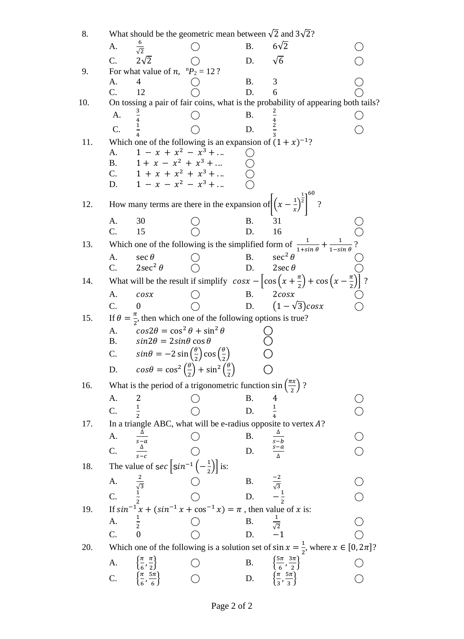8. What should be the geometric mean between  $\sqrt{2}$  and  $3\sqrt{2}$ ? A.  $\frac{6}{\sqrt{2}}$ ◯ B.  $6√2$  ◯ C.  $2\sqrt{2}$  ◯ D.  $\sqrt{6}$  ◯ 9. For what value of *n*,  $P_2 = 12$ ? A. 4  $\bigcirc$  B. 3  $\bigcirc$ C.  $12 \qquad \qquad \bigcirc \qquad \qquad D. \quad 6 \qquad \qquad \bigcirc$ 10. On tossing a pair of fair coins, what is the probability of appearing both tails?  $\mathbf{A}$ .  $\frac{4}{1}$  $\bigcirc$  B.  $\frac{2}{4}$  $\frac{4}{2}$  $\bigcirc$  $\overline{C}$ . 4  $\bigcirc$  D.  $\frac{2}{3}$ 11. Which one of the following is an expansion of  $(1 + x)^{-1}$ ?  $\bigcirc$ A.  $1 - x + x^2 - x^3 + \dots$  ○ B.  $1 + x - x^2 + x^3 + ...$   $\bigcirc$ C.  $1 + x + x^2 + x^3 + ...$   $\bigcirc$ D.  $1 - x - x^2 - x^3 + \dots$  ○ 12. How many terms are there in the expansion of  $\left| \left( x - \frac{1}{x} \right) \right|$  $\frac{1}{x}$ 1 2 ] 60 ? A. 30  $\bigcirc$  B. 31  $\bigcirc$ C. 15  $\bigcirc$  D. 16  $\bigcirc$ 13. Which one of the following is the simplified form of  $\frac{1}{1+\sin\theta}$ + 1 1− ? A. sec  $\theta$   $\qquad \bigcirc$  B. sec<sup>2</sup>  $\theta$   $\qquad \bigcirc$ C.  $2\sec^2 \theta$  ( ) D.  $2\sec \theta$ 14. What will be the result if simplify  $\cos x - \left[\cos\left(x + \frac{\pi}{2}\right)\right]$  $\frac{\pi}{2}$ ) + cos (x –  $\pi$ 2 )] ? A.  $cos x$   $\qquad$  B.  $2cos x$   $\qquad$ C. 0 ◯ D.  $(1 - \sqrt{3})cos x$ 15. If  $\theta = \frac{\pi}{2}$  $\frac{\pi}{2}$ , then which one of the following options is true? A.  $\cos 2\theta = \cos^2 \theta + \sin^2 \theta$ B.  $sin 2\theta = 2 sin \theta cos \theta$ C.  $sin\theta = -2 sin(\frac{\theta}{2})$  $\frac{\theta}{2}$ ) cos  $\left(\frac{\theta}{2}\right)$ 2  $\bigcap$ D.  $cos\theta = cos^2\left(\frac{\theta}{2}\right)$  $\left(\frac{\theta}{2}\right) + \sin^2\left(\frac{\theta}{2}\right)$ 2  $\bigcap$ 16. What is the period of a trigonometric function  $\sin\left(\frac{\pi x}{2}\right)$  $\frac{11}{2}$ )? A. 2  $\bigcirc$  B. 4  $\bigcirc$  $C. \frac{1}{2}$ 2  $\bigcirc$  D.  $\frac{1}{4}$ 4  $\bigcap$ 17. In a triangle ABC, what will be e-radius opposite to vertex  $A$ ?  $\mathbf{A}$ .  $s-a$  $\bigcirc$  B.  $\frac{\Delta}{a}$  $\frac{s-b}{s-a}$  $\bigcirc$ C. <sup>∆</sup>  $\frac{1}{s-c}$  $\bigcirc$  D.  $\frac{s-a}{\lambda}$ ∆  $\bigcirc$ 18. The value of  $\sec \left[\sin^{-1}\left(-\frac{1}{2}\right)\right]$ sec  $\left[\sin^{-1}\left(-\frac{1}{2}\right)\right]$  is:  $A$ .  $rac{2}{\sqrt{3}}$  $\bigcirc$  B.  $\frac{-2}{\sqrt{2}}$  $\frac{\sqrt{3}}{1}$  $\bigcirc$  $\overline{C}$ . 2 ⃝ D. − 2  $\bigcirc$ 19. If  $sin^{-1} x + (sin^{-1} x + cos^{-1} x) = \pi$ , then value of x is:  $A<sub>1</sub>$  $\overline{2}$  $\bigcirc$  B.  $\frac{1}{5}$  $\sqrt{2}$ <br>-1  $\bigcirc$ C. 0 ◯ D.  $-1$  ◯ 20. Which one of the following is a solution set of  $\sin x = \frac{1}{2}$  $\frac{1}{2}$ , where  $x \in [0, 2\pi]$ ?  $A$ .  $\pi$  $\frac{\pi}{6}, \frac{\pi}{2}$ 2  $\left\{\begin{array}{ccc} & \circ & \circ & \circ \\ \circ & \circ & \circ & \circ \end{array}\right\}$  $5\pi$  $\frac{5\pi}{6}, \frac{3\pi}{2}$ 2  $\bigcirc$  $C_{\cdot}$  $\pi$  $\frac{\pi}{6}$ ,  $\frac{5\pi}{6}$ 6  $\{\qquad \qquad$  D.  $\{\qquad \}$  $\pi$  5 $\pi$ 3 , 3  $\bigcirc$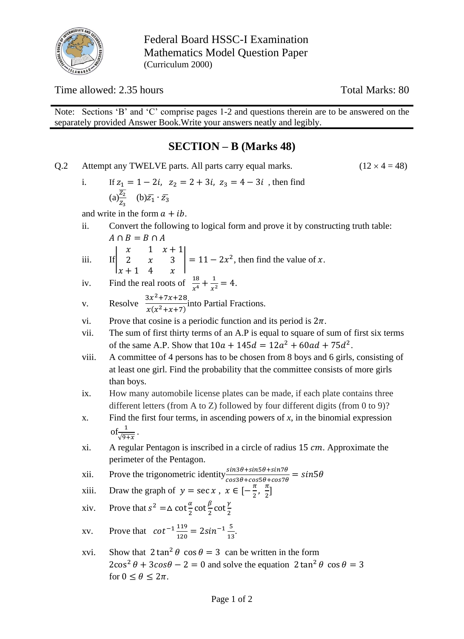

Federal Board HSSC-I Examination Mathematics Model Question Paper (Curriculum 2000)

Time allowed: 2.35 hours Total Marks: 80

Note: Sections 'B' and 'C' comprise pages 1-2 and questions therein are to be answered on the separately provided Answer Book. Write your answers neatly and legibly.

# **SECTION – B (Marks 48)**

| Q.2 |                                                                                                                                                                                                        | Attempt any TWELVE parts. All parts carry equal marks.                                                                                                                      | $(12 \times 4 = 48)$ |  |  |  |  |  |  |  |  |
|-----|--------------------------------------------------------------------------------------------------------------------------------------------------------------------------------------------------------|-----------------------------------------------------------------------------------------------------------------------------------------------------------------------------|----------------------|--|--|--|--|--|--|--|--|
|     | i.                                                                                                                                                                                                     | If $z_1 = 1 - 2i$ , $z_2 = 2 + 3i$ , $z_3 = 4 - 3i$ , then find                                                                                                             |                      |  |  |  |  |  |  |  |  |
|     |                                                                                                                                                                                                        |                                                                                                                                                                             |                      |  |  |  |  |  |  |  |  |
|     |                                                                                                                                                                                                        | and write in the form $a + ib$ .                                                                                                                                            |                      |  |  |  |  |  |  |  |  |
|     | ii.                                                                                                                                                                                                    | Convert the following to logical form and prove it by constructing truth table:                                                                                             |                      |  |  |  |  |  |  |  |  |
|     |                                                                                                                                                                                                        | $A \cap B = B \cap A$                                                                                                                                                       |                      |  |  |  |  |  |  |  |  |
|     | If $\begin{vmatrix} x & 1 & x+1 \\ 2 & x & 3 \\ x+1 & 4 & x \end{vmatrix}$ = 11 – 2x <sup>2</sup> , then find the value of x.<br>iii.<br>Find the real roots of $\frac{18}{x^4} + \frac{1}{x^2} = 4$ . |                                                                                                                                                                             |                      |  |  |  |  |  |  |  |  |
|     | iv.                                                                                                                                                                                                    |                                                                                                                                                                             |                      |  |  |  |  |  |  |  |  |
|     | $\mathbf{V}$ .                                                                                                                                                                                         | Resolve $\frac{3x^2+7x+28}{x(x^2+x+7)}$ into Partial Fractions.                                                                                                             |                      |  |  |  |  |  |  |  |  |
|     | vi.                                                                                                                                                                                                    | Prove that cosine is a periodic function and its period is $2\pi$ .                                                                                                         |                      |  |  |  |  |  |  |  |  |
|     | vii.                                                                                                                                                                                                   | The sum of first thirty terms of an A.P is equal to square of sum of first six terms                                                                                        |                      |  |  |  |  |  |  |  |  |
|     |                                                                                                                                                                                                        | of the same A.P. Show that $10a + 145d = 12a^2 + 60ad + 75d^2$ .                                                                                                            |                      |  |  |  |  |  |  |  |  |
|     | viii.                                                                                                                                                                                                  | A committee of 4 persons has to be chosen from 8 boys and 6 girls, consisting of                                                                                            |                      |  |  |  |  |  |  |  |  |
|     |                                                                                                                                                                                                        | at least one girl. Find the probability that the committee consists of more girls                                                                                           |                      |  |  |  |  |  |  |  |  |
|     |                                                                                                                                                                                                        | than boys.<br>How many automobile license plates can be made, if each plate contains three                                                                                  |                      |  |  |  |  |  |  |  |  |
|     | ix.                                                                                                                                                                                                    |                                                                                                                                                                             |                      |  |  |  |  |  |  |  |  |
|     | X.                                                                                                                                                                                                     | different letters (from A to Z) followed by four different digits (from $0$ to $9$ )?<br>Find the first four terms, in ascending powers of $x$ , in the binomial expression |                      |  |  |  |  |  |  |  |  |
|     |                                                                                                                                                                                                        | of $\frac{1}{\sqrt{9+x}}$ .                                                                                                                                                 |                      |  |  |  |  |  |  |  |  |
|     | xi.                                                                                                                                                                                                    | A regular Pentagon is inscribed in a circle of radius 15 cm. Approximate the                                                                                                |                      |  |  |  |  |  |  |  |  |
|     |                                                                                                                                                                                                        | perimeter of the Pentagon.                                                                                                                                                  |                      |  |  |  |  |  |  |  |  |
|     | xii.                                                                                                                                                                                                   | Prove the trigonometric identity $\frac{sin 3\theta + sin 5\theta + sin 7\theta}{cos 3\theta + cos 5\theta + cos 7\theta} = sin 5\theta$                                    |                      |  |  |  |  |  |  |  |  |
|     | xiii.                                                                                                                                                                                                  | Draw the graph of $y = \sec x$ , $x \in \left[-\frac{\pi}{2}, \frac{\pi}{2}\right]$                                                                                         |                      |  |  |  |  |  |  |  |  |
|     | xiv.                                                                                                                                                                                                   | Prove that $s^2 = \Delta \cot \frac{\alpha}{2} \cot \frac{\beta}{2} \cot \frac{\gamma}{2}$                                                                                  |                      |  |  |  |  |  |  |  |  |
|     | XV.                                                                                                                                                                                                    | Prove that $\cot^{-1} \frac{119}{120} = 2 \sin^{-1} \frac{5}{13}$ .                                                                                                         |                      |  |  |  |  |  |  |  |  |
|     | xvi.                                                                                                                                                                                                   | Show that $2 \tan^2 \theta \cos \theta = 3$ can be written in the form                                                                                                      |                      |  |  |  |  |  |  |  |  |
|     |                                                                                                                                                                                                        | $2\cos^2 \theta + 3\cos \theta - 2 = 0$ and solve the equation $2\tan^2 \theta \cos \theta = 3$<br>for $0 \le \theta \le 2\pi$ .                                            |                      |  |  |  |  |  |  |  |  |
|     |                                                                                                                                                                                                        |                                                                                                                                                                             |                      |  |  |  |  |  |  |  |  |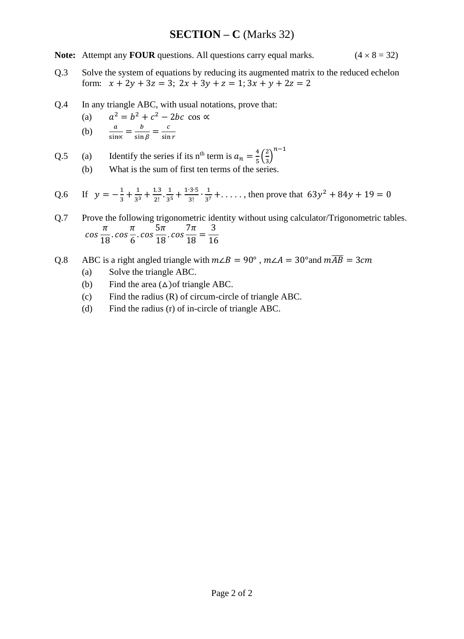# **SECTION – C** (Marks 32)

**Note:** Attempt any **FOUR** questions. All questions carry equal marks.  $(4 \times 8 = 32)$ 

- Q.3 Solve the system of equations by reducing its augmented matrix to the reduced echelon form:  $x + 2y + 3z = 3$ ;  $2x + 3y + z = 1$ ;  $3x + y + 2z = 2$
- Q.4 In any triangle ABC, with usual notations, prove that:
	- $(a)$  $a^2 = b^2 + c^2 - 2bc \cos \alpha$

(b) 
$$
\frac{a}{\sin \alpha} = \frac{b}{\sin \beta} = \frac{c}{\sin r}
$$

Q.5 (a) Identify the series if its n<sup>th</sup> term is 
$$
a_n = \frac{4}{5} \left(\frac{2}{3}\right)^{n-1}
$$

(b) What is the sum of first ten terms of the series.

Q.6 If 
$$
y = -\frac{1}{3} + \frac{1}{3^3} + \frac{1 \cdot 3}{2!} \cdot \frac{1}{3^5} + \frac{1 \cdot 3 \cdot 5}{3!} \cdot \frac{1}{3^7} + \dots
$$
, then prove that  $63y^2 + 84y + 19 = 0$ 

- Q.7 Prove the following trigonometric identity without using calculator/Trigonometric tables. cos  $\pi$  $\frac{1}{18}$ . cos  $\pi$ 6 .cos  $5\pi$  $\frac{10}{18}$ . cos  $7\pi$  $\frac{1}{18}$  = 3 16
- Q.8 ABC is a right angled triangle with  $m\angle B = 90^\circ$ ,  $m\angle A = 30^\circ$  and  $m\overline{AB} = 3cm$ 
	- (a) Solve the triangle ABC.
	- (b) Find the area  $(\triangle)$  of triangle ABC.
	- (c) Find the radius (R) of circum-circle of triangle ABC.
	- (d) Find the radius (r) of in-circle of triangle ABC.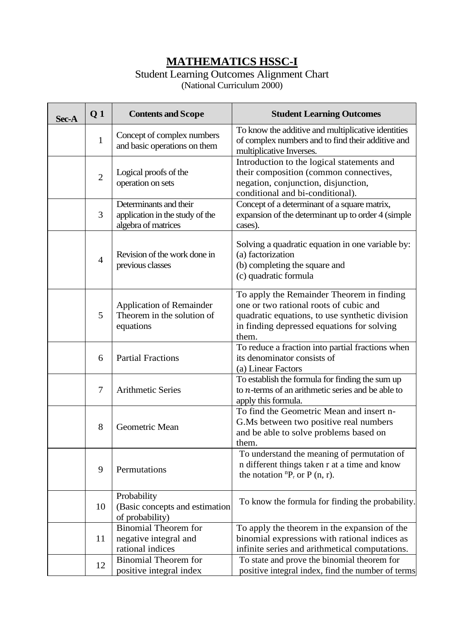# **MATHEMATICS HSSC-I**

## Student Learning Outcomes Alignment Chart (National Curriculum 2000)

| Sec-A | Q <sub>1</sub> | <b>Contents and Scope</b>                                                        | <b>Student Learning Outcomes</b>                                                                                                                                                             |
|-------|----------------|----------------------------------------------------------------------------------|----------------------------------------------------------------------------------------------------------------------------------------------------------------------------------------------|
|       | $\mathbf{1}$   | Concept of complex numbers<br>and basic operations on them                       | To know the additive and multiplicative identities<br>of complex numbers and to find their additive and<br>multiplicative Inverses.                                                          |
|       | $\overline{2}$ | Logical proofs of the<br>operation on sets                                       | Introduction to the logical statements and<br>their composition (common connectives,<br>negation, conjunction, disjunction,<br>conditional and bi-conditional).                              |
|       | 3              | Determinants and their<br>application in the study of the<br>algebra of matrices | Concept of a determinant of a square matrix,<br>expansion of the determinant up to order 4 (simple<br>cases).                                                                                |
|       | $\overline{4}$ | Revision of the work done in<br>previous classes                                 | Solving a quadratic equation in one variable by:<br>(a) factorization<br>(b) completing the square and<br>(c) quadratic formula                                                              |
|       | 5              | <b>Application of Remainder</b><br>Theorem in the solution of<br>equations       | To apply the Remainder Theorem in finding<br>one or two rational roots of cubic and<br>quadratic equations, to use synthetic division<br>in finding depressed equations for solving<br>them. |
|       | 6              | <b>Partial Fractions</b>                                                         | To reduce a fraction into partial fractions when<br>its denominator consists of<br>(a) Linear Factors                                                                                        |
|       | 7              | <b>Arithmetic Series</b>                                                         | To establish the formula for finding the sum up<br>to $n$ -terms of an arithmetic series and be able to<br>apply this formula.                                                               |
|       | 8              | Geometric Mean                                                                   | To find the Geometric Mean and insert n-<br>G.Ms between two positive real numbers<br>and be able to solve problems based on<br>them.                                                        |
|       | 9              | Permutations                                                                     | To understand the meaning of permutation of<br>n different things taken r at a time and know<br>the notation ${}^{n}P_{r}$ or P (n, r).                                                      |
|       | 10             | Probability<br>(Basic concepts and estimation<br>of probability)                 | To know the formula for finding the probability.                                                                                                                                             |
|       | 11             | <b>Binomial Theorem for</b><br>negative integral and<br>rational indices         | To apply the theorem in the expansion of the<br>binomial expressions with rational indices as<br>infinite series and arithmetical computations.                                              |
|       | 12             | <b>Binomial Theorem for</b><br>positive integral index                           | To state and prove the binomial theorem for<br>positive integral index, find the number of terms                                                                                             |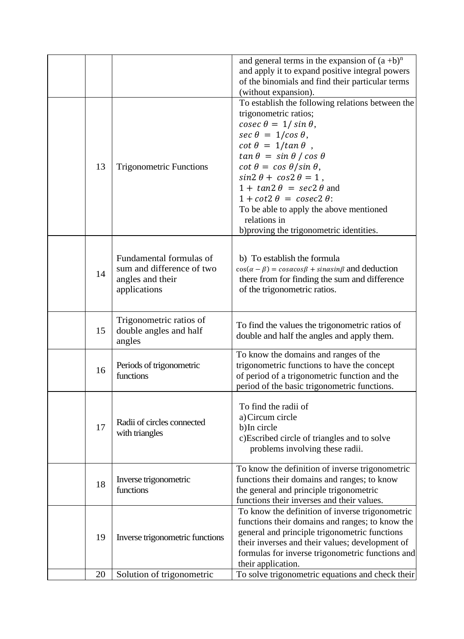|    |                                                                                          | and general terms in the expansion of $(a + b)^n$<br>and apply it to expand positive integral powers<br>of the binomials and find their particular terms                                                                                                                                                                                                                                                                                           |
|----|------------------------------------------------------------------------------------------|----------------------------------------------------------------------------------------------------------------------------------------------------------------------------------------------------------------------------------------------------------------------------------------------------------------------------------------------------------------------------------------------------------------------------------------------------|
|    |                                                                                          | (without expansion).                                                                                                                                                                                                                                                                                                                                                                                                                               |
| 13 | <b>Trigonometric Functions</b>                                                           | To establish the following relations between the<br>trigonometric ratios;<br>$cosec \theta = 1/\sin \theta$ ,<br>$\sec \theta = 1/\cos \theta$ ,<br>$\cot \theta = 1/\tan \theta$ ,<br>$tan \theta = sin \theta / cos \theta$<br>$\cot \theta = \cos \theta / \sin \theta$ ,<br>$sin 2 \theta + cos 2 \theta = 1$ ,<br>$1 + \tan 2 \theta = \sec 2 \theta$ and<br>$1 + \cot 2 \theta = \csc 2 \theta$ :<br>To be able to apply the above mentioned |
|    |                                                                                          | relations in<br>b) proving the trigonometric identities.                                                                                                                                                                                                                                                                                                                                                                                           |
| 14 | Fundamental formulas of<br>sum and difference of two<br>angles and their<br>applications | b) To establish the formula<br>$cos(\alpha - \beta) = cos\alpha cos\beta + sin\alpha sin\beta$ and deduction<br>there from for finding the sum and difference<br>of the trigonometric ratios.                                                                                                                                                                                                                                                      |
| 15 | Trigonometric ratios of<br>double angles and half<br>angles                              | To find the values the trigonometric ratios of<br>double and half the angles and apply them.                                                                                                                                                                                                                                                                                                                                                       |
| 16 | Periods of trigonometric<br>functions                                                    | To know the domains and ranges of the<br>trigonometric functions to have the concept<br>of period of a trigonometric function and the<br>period of the basic trigonometric functions.                                                                                                                                                                                                                                                              |
| 17 | Radii of circles connected<br>with triangles                                             | To find the radii of<br>a) Circum circle<br>b)In circle<br>c)Escribed circle of triangles and to solve<br>problems involving these radii.                                                                                                                                                                                                                                                                                                          |
| 18 | Inverse trigonometric<br>functions                                                       | To know the definition of inverse trigonometric<br>functions their domains and ranges; to know<br>the general and principle trigonometric<br>functions their inverses and their values.                                                                                                                                                                                                                                                            |
| 19 | Inverse trigonometric functions                                                          | To know the definition of inverse trigonometric<br>functions their domains and ranges; to know the<br>general and principle trigonometric functions<br>their inverses and their values; development of<br>formulas for inverse trigonometric functions and<br>their application.                                                                                                                                                                   |
| 20 | Solution of trigonometric                                                                | To solve trigonometric equations and check their                                                                                                                                                                                                                                                                                                                                                                                                   |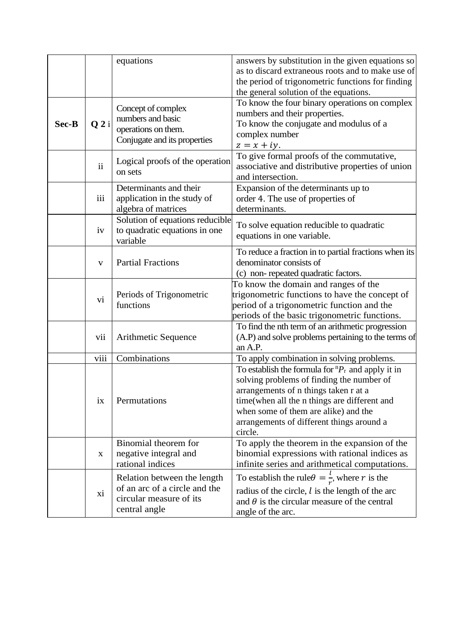|         |                     | equations                                              | answers by substitution in the given equations so                     |
|---------|---------------------|--------------------------------------------------------|-----------------------------------------------------------------------|
|         |                     |                                                        | as to discard extraneous roots and to make use of                     |
|         |                     |                                                        | the period of trigonometric functions for finding                     |
|         |                     |                                                        | the general solution of the equations.                                |
|         |                     | Concept of complex                                     | To know the four binary operations on complex                         |
|         |                     | numbers and basic                                      | numbers and their properties.                                         |
| $Sec-B$ | Q2i                 | operations on them.                                    | To know the conjugate and modulus of a                                |
|         |                     | Conjugate and its properties                           | complex number                                                        |
|         |                     |                                                        | $z = x + iy$ .                                                        |
|         | $\ddot{\mathbf{i}}$ | Logical proofs of the operation                        | To give formal proofs of the commutative,                             |
|         |                     | on sets                                                | associative and distributive properties of union<br>and intersection. |
|         |                     | Determinants and their                                 |                                                                       |
|         | iii                 |                                                        | Expansion of the determinants up to                                   |
|         |                     | application in the study of                            | order 4. The use of properties of<br>determinants.                    |
|         |                     | algebra of matrices<br>Solution of equations reducible |                                                                       |
|         | iv                  | to quadratic equations in one                          | To solve equation reducible to quadratic                              |
|         |                     | variable                                               | equations in one variable.                                            |
|         |                     |                                                        | To reduce a fraction in to partial fractions when its                 |
|         | V                   | <b>Partial Fractions</b>                               | denominator consists of                                               |
|         |                     |                                                        | (c) non-repeated quadratic factors.                                   |
|         |                     |                                                        | To know the domain and ranges of the                                  |
|         |                     | Periods of Trigonometric                               | trigonometric functions to have the concept of                        |
|         | V <sub>1</sub>      | functions                                              | period of a trigonometric function and the                            |
|         |                     |                                                        | periods of the basic trigonometric functions.                         |
|         |                     |                                                        | To find the nth term of an arithmetic progression                     |
|         | vii                 | Arithmetic Sequence                                    | (A.P) and solve problems pertaining to the terms of                   |
|         |                     |                                                        | an A.P.                                                               |
|         | viii                | Combinations                                           | To apply combination in solving problems.                             |
|         |                     |                                                        | To establish the formula for ${}^{n}P_{r}$ and apply it in            |
|         |                     |                                                        | solving problems of finding the number of                             |
|         |                     |                                                        | arrangements of n things taken r at a                                 |
|         | ix                  | Permutations                                           | time(when all the n things are different and                          |
|         |                     |                                                        | when some of them are alike) and the                                  |
|         |                     |                                                        | arrangements of different things around a                             |
|         |                     |                                                        | circle.                                                               |
|         |                     | Binomial theorem for                                   | To apply the theorem in the expansion of the                          |
|         | $\mathbf X$         | negative integral and                                  | binomial expressions with rational indices as                         |
|         |                     | rational indices                                       | infinite series and arithmetical computations.                        |
|         |                     | Relation between the length                            | To establish the rule $\theta = \frac{l}{r}$ , where r is the         |
|         | X <sub>1</sub>      | of an arc of a circle and the                          | radius of the circle, $l$ is the length of the arc                    |
|         |                     | circular measure of its                                | and $\theta$ is the circular measure of the central                   |
|         |                     | central angle                                          | angle of the arc.                                                     |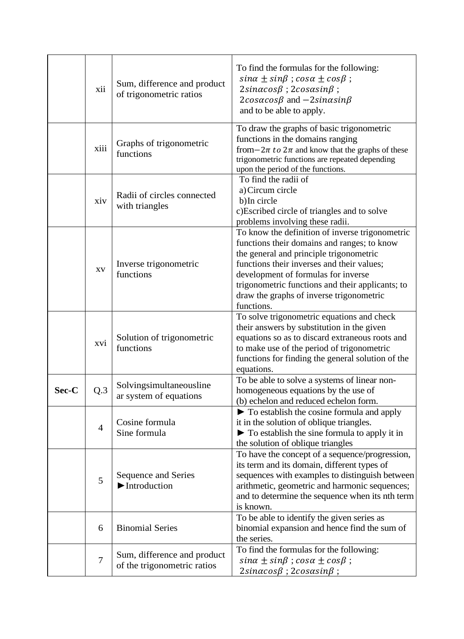|       | xii            | Sum, difference and product<br>of trigonometric ratios     | To find the formulas for the following:<br>$sin\alpha \pm sin\beta$ ; $cos\alpha \pm cos\beta$ ;<br>$2sin\alpha cos\beta$ ; $2cos\alpha sin\beta$ ;<br>$2cos\alpha cos\beta$ and $-2sin\alpha sin\beta$<br>and to be able to apply.                                                                                                          |
|-------|----------------|------------------------------------------------------------|----------------------------------------------------------------------------------------------------------------------------------------------------------------------------------------------------------------------------------------------------------------------------------------------------------------------------------------------|
|       | xiii           | Graphs of trigonometric<br>functions                       | To draw the graphs of basic trigonometric<br>functions in the domains ranging<br>from - $2\pi$ to $2\pi$ and know that the graphs of these<br>trigonometric functions are repeated depending<br>upon the period of the functions.                                                                                                            |
|       | xiv            | Radii of circles connected<br>with triangles               | To find the radii of<br>a) Circum circle<br>b)In circle<br>c)Escribed circle of triangles and to solve<br>problems involving these radii.                                                                                                                                                                                                    |
|       | XV             | Inverse trigonometric<br>functions                         | To know the definition of inverse trigonometric<br>functions their domains and ranges; to know<br>the general and principle trigonometric<br>functions their inverses and their values;<br>development of formulas for inverse<br>trigonometric functions and their applicants; to<br>draw the graphs of inverse trigonometric<br>functions. |
|       | xvi            | Solution of trigonometric<br>functions                     | To solve trigonometric equations and check<br>their answers by substitution in the given<br>equations so as to discard extraneous roots and<br>to make use of the period of trigonometric<br>functions for finding the general solution of the<br>equations.                                                                                 |
| Sec-C | Q.3            | Solvingsimultaneousline<br>ar system of equations          | To be able to solve a systems of linear non-<br>homogeneous equations by the use of<br>(b) echelon and reduced echelon form.                                                                                                                                                                                                                 |
|       | $\overline{4}$ | Cosine formula<br>Sine formula                             | To establish the cosine formula and apply<br>it in the solution of oblique triangles.<br>$\blacktriangleright$ To establish the sine formula to apply it in<br>the solution of oblique triangles                                                                                                                                             |
|       | 5              | Sequence and Series<br>$\blacktriangleright$ Introduction  | To have the concept of a sequence/progression,<br>its term and its domain, different types of<br>sequences with examples to distinguish between<br>arithmetic, geometric and harmonic sequences;<br>and to determine the sequence when its nth term<br>is known.                                                                             |
|       | 6              | <b>Binomial Series</b>                                     | To be able to identify the given series as<br>binomial expansion and hence find the sum of<br>the series.                                                                                                                                                                                                                                    |
|       | 7              | Sum, difference and product<br>of the trigonometric ratios | To find the formulas for the following:<br>$sin\alpha \pm sin\beta$ ; $cos\alpha \pm cos\beta$ ;<br>$2sin\alpha cos\beta$ ; $2cos\alpha sin\beta$ ;                                                                                                                                                                                          |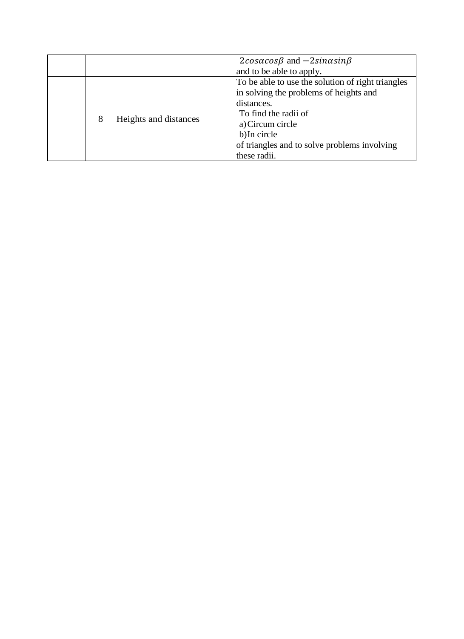|   |                       | $2cos\alpha cos\beta$ and $-2sin\alpha sin\beta$  |  |  |
|---|-----------------------|---------------------------------------------------|--|--|
|   |                       | and to be able to apply.                          |  |  |
|   |                       | To be able to use the solution of right triangles |  |  |
|   |                       | in solving the problems of heights and            |  |  |
|   | Heights and distances | distances.                                        |  |  |
|   |                       | To find the radii of                              |  |  |
| 8 |                       | a) Circum circle                                  |  |  |
|   |                       | b)In circle                                       |  |  |
|   |                       | of triangles and to solve problems involving      |  |  |
|   |                       | these radii.                                      |  |  |